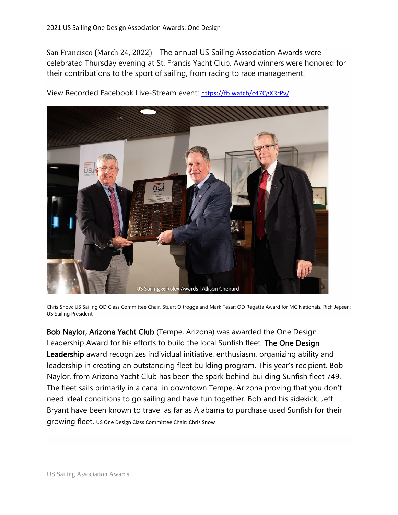San Francisco (March 24, 2022) – The annual US Sailing Association Awards were celebrated Thursday evening at St. Francis Yacht Club. Award winners were honored for their contributions to the sport of sailing, from racing to race management.



View Recorded Facebook Live-Stream event: <https://fb.watch/c47CgXRrPv/>

Chris Snow: US Sailing OD Class Committee Chair, Stuart Oltrogge and Mark Tesar: OD Regatta Award for MC Nationals, Rich Jepsen: US Sailing President

Bob Naylor, Arizona Yacht Club (Tempe, Arizona) was awarded the One Design Leadership Award for his efforts to build the local Sunfish fleet. The One Design Leadership award recognizes individual initiative, enthusiasm, organizing ability and leadership in creating an outstanding fleet building program. This year's recipient, Bob Naylor, from Arizona Yacht Club has been the spark behind building Sunfish fleet 749. The fleet sails primarily in a canal in downtown Tempe, Arizona proving that you don't need ideal conditions to go sailing and have fun together. Bob and his sidekick, Jeff Bryant have been known to travel as far as Alabama to purchase used Sunfish for their growing fleet. US One Design Class Committee Chair: Chris Snow